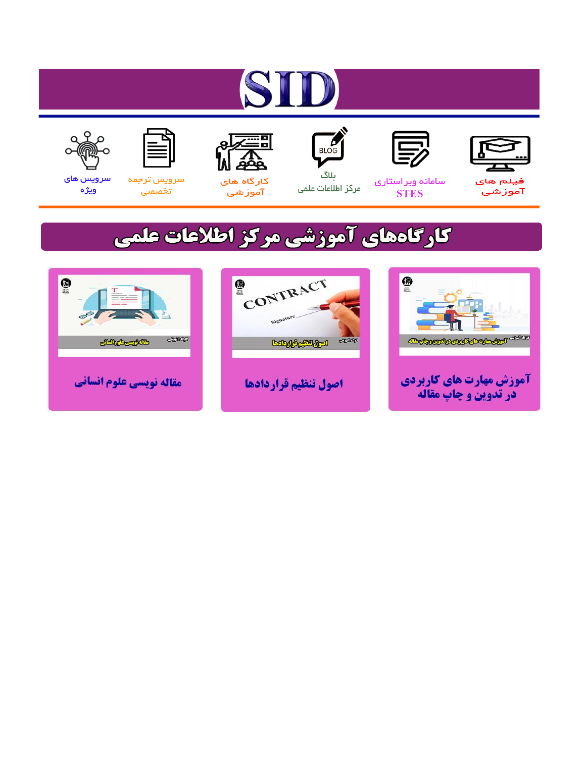# ST











مرکز اطلاعات علمی

 $\frac{1}{\sqrt{\frac{1}{100}}}$ ىلاگ



آموزشي

空

سرويس ترجمه تخصصى



سرویس های ويژه

### كارگاههای آموزشی مركز اطلاعات علمی





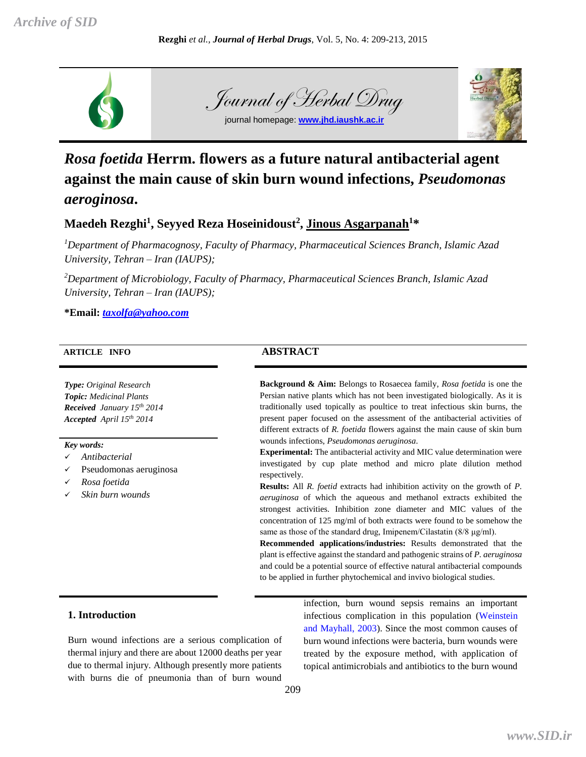

## Journal of Herbal Drug

journal homepage: **[www.jhd.iaushk.ac.ir](http://www.jhd.iaushk.ac.ir/)**



#### *Rosa foetida* **Herrm. flowers as a future natural antibacterial agent against the main cause of skin burn wound infections,** *Pseudomonas aeroginosa***.**

#### **Maedeh Rezghi<sup>1</sup> , Seyyed Reza Hoseinidoust<sup>2</sup> , Jinous Asgarpanah<sup>1</sup>\***

*<sup>1</sup>Department of Pharmacognosy, Faculty of Pharmacy, Pharmaceutical Sciences Branch, Islamic Azad University, Tehran – Iran (IAUPS);*

*<sup>2</sup>Department of Microbiology, Faculty of Pharmacy, Pharmaceutical Sciences Branch, Islamic Azad University, Tehran – Iran (IAUPS);*

**\*Email:** *taxolfa@yahoo.com*

#### **ARTICLE INFO ABSTRACT**

*Type: Original Research Topic: Medicinal Plants Received January 15th 2014 Accepted April 15th 2014*

#### *Key words:*

- *Antibacterial*
- Pseudomonas aeruginosa
- *Rosa foetida*
- *Skin burn wounds*

**Background & Aim:** Belongs to Rosaecea family, *Rosa foetida* is one the Persian native plants which has not been investigated biologically. As it is traditionally used topically as poultice to treat infectious skin burns, the present paper focused on the assessment of the antibacterial activities of different extracts of *R. foetida* flowers against the main cause of skin burn wounds infections, *Pseudomonas aeruginosa*.

**Experimental:** The antibacterial activity and MIC value determination were investigated by cup plate method and micro plate dilution method respectively.

**Results:** All *R. foetid* extracts had inhibition activity on the growth of *P. aeruginosa* of which the aqueous and methanol extracts exhibited the strongest activities. Inhibition zone diameter and MIC values of the concentration of 125 mg/ml of both extracts were found to be somehow the same as those of the standard drug, Imipenem/Cilastatin (8/8 μg/ml).

**Recommended applications/industries:** Results demonstrated that the plant is effective against the standard and pathogenic strains of *P. aeruginosa* and could be a potential source of effective natural antibacterial compounds to be applied in further phytochemical and invivo biological studies.

#### **1. Introduction**

Burn wound infections are a serious complication of thermal injury and there are about 12000 deaths per year due to thermal injury. Although presently more patients with burns die of pneumonia than of burn wound

infection, burn wound sepsis remains an important infectious complication in this population (Weinstein and Mayhall, 2003). Since the most common causes of burn wound infections were bacteria, burn wounds were treated by the exposure method, with application of topical antimicrobials and antibiotics to the burn wound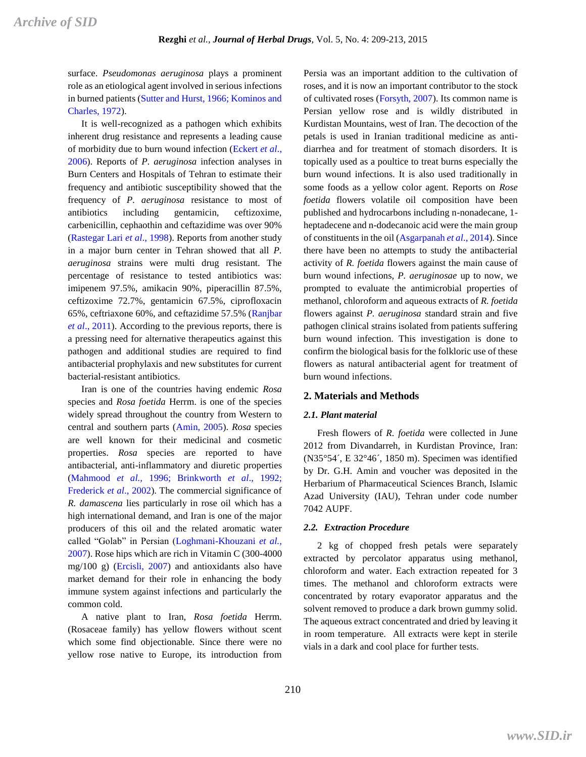surface. *Pseudomonas aeruginosa* plays a prominent role as an etiological agent involved in serious infections in burned patients (Sutter and Hurst, 1966; Kominos and Charles, 1972).

It is well-recognized as a pathogen which exhibits inherent drug resistance and represents a leading cause of morbidity due to burn wound infection (Eckert *et al*., 2006). Reports of *P. aeruginosa* infection analyses in Burn Centers and Hospitals of Tehran to estimate their frequency and antibiotic susceptibility showed that the frequency of *P. aeruginosa* resistance to most of antibiotics including gentamicin, ceftizoxime, carbenicillin, cephaothin and ceftazidime was over 90% (Rastegar Lari *et al*., 1998). Reports from another study in a major burn center in Tehran showed that all *P. aeruginosa* strains were multi drug resistant. The percentage of resistance to tested antibiotics was: imipenem 97.5%, amikacin 90%, piperacillin 87.5%, ceftizoxime 72.7%, gentamicin 67.5%, ciprofloxacin 65%, ceftriaxone 60%, and ceftazidime 57.5% (Ranjbar *et al*., 2011). According to the previous reports, there is a pressing need for alternative therapeutics against this pathogen and additional studies are required to find antibacterial prophylaxis and new substitutes for current bacterial-resistant antibiotics.

Iran is one of the countries having endemic *Rosa* species and *Rosa foetida* Herrm. is one of the species widely spread throughout the country from Western to central and southern parts (Amin, 2005). *Rosa* species are well known for their medicinal and cosmetic properties. *Rosa* species are reported to have antibacterial, anti-inflammatory and diuretic properties (Mahmood *et al.,* 1996; Brinkworth *et al*., 1992; Frederick *et al*., 2002). The commercial significance of *R. damascena* lies particularly in rose oil which has a high international demand, and Iran is one of the major producers of this oil and the related aromatic water called "Golab" in Persian (Loghmani-Khouzani *et al.,* 2007). Rose hips which are rich in Vitamin C (300-4000 mg/100 g) (Ercisli, 2007) and antioxidants also have market demand for their role in enhancing the body immune system against infections and particularly the common cold.

A native plant to Iran, *Rosa foetida* Herrm. (Rosaceae family) has yellow flowers without scent which some find objectionable. Since there were no yellow rose native to Europe, its introduction from

Persia was an important addition to the cultivation of roses, and it is now an important contributor to the stock of cultivated roses (Forsyth, 2007). Its common name is Persian yellow rose and is wildly distributed in Kurdistan Mountains, west of Iran. The decoction of the petals is used in Iranian traditional medicine as antidiarrhea and for treatment of stomach disorders. It is topically used as a poultice to treat burns especially the burn wound infections. It is also used traditionally in some foods as a yellow color agent. Reports on *Rose foetida* flowers volatile oil composition have been published and hydrocarbons including n-nonadecane, 1 heptadecene and n-dodecanoic acid were the main group of constituents in the oil (Asgarpanah *et al*., 2014). Since there have been no attempts to study the antibacterial activity of *R. foetida* flowers against the main cause of burn wound infections, *P. aeruginosae* up to now, we prompted to evaluate the antimicrobial properties of methanol, chloroform and aqueous extracts of *R. foetida* flowers against *P. aeruginosa* standard strain and five pathogen clinical strains isolated from patients suffering burn wound infection. This investigation is done to confirm the biological basis for the folkloric use of these flowers as natural antibacterial agent for treatment of burn wound infections.

#### **2. Materials and Methods**

#### *2.1. Plant material*

Fresh flowers of *R. foetida* were collected in June 2012 from Divandarreh, in Kurdistan Province, Iran: (N35°54´, E 32°46´, 1850 m). Specimen was identified by Dr. G.H. Amin and voucher was deposited in the Herbarium of Pharmaceutical Sciences Branch, Islamic Azad University (IAU), Tehran under code number 7042 AUPF.

#### *2.2. Extraction Procedure*

2 kg of chopped fresh petals were separately extracted by percolator apparatus using methanol, chloroform and water. Each extraction repeated for 3 times. The methanol and chloroform extracts were concentrated by rotary evaporator apparatus and the solvent removed to produce a dark brown gummy solid. The aqueous extract concentrated and dried by leaving it in room temperature. All extracts were kept in sterile vials in a dark and cool place for further tests.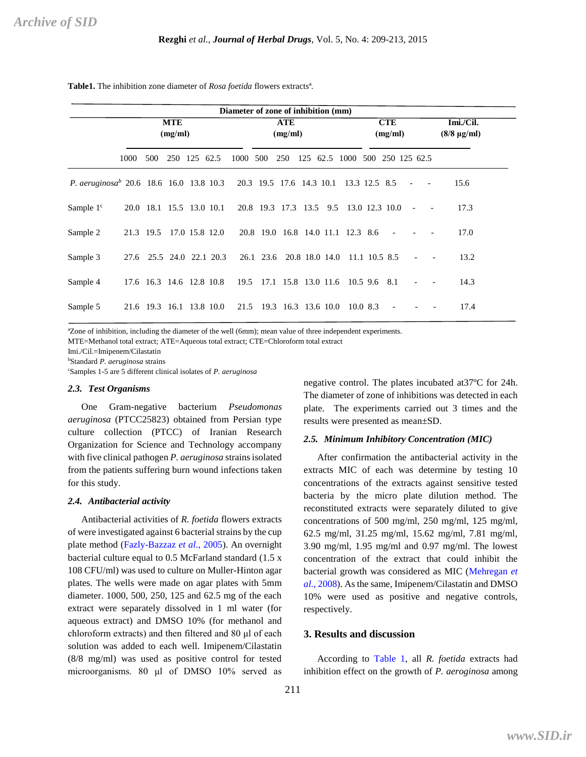|                                                                                                   |                       |     |                          |  |                          | Diameter of zone of inhibition (mm)    |  |                                       |  |                       |                                |  |  |                                 |                          |      |
|---------------------------------------------------------------------------------------------------|-----------------------|-----|--------------------------|--|--------------------------|----------------------------------------|--|---------------------------------------|--|-----------------------|--------------------------------|--|--|---------------------------------|--------------------------|------|
|                                                                                                   | <b>MTE</b><br>(mg/ml) |     |                          |  | <b>ATE</b><br>(mg/ml)    |                                        |  |                                       |  | <b>CTE</b><br>(mg/ml) |                                |  |  | Imi./Cil.<br>$(8/8 \,\mu g/ml)$ |                          |      |
|                                                                                                   | 1000                  | 500 | 250 125 62.5             |  |                          | 1000 500                               |  | 250                                   |  |                       | 125 62.5 1000 500 250 125 62.5 |  |  |                                 |                          |      |
| <i>P. aeruginosa</i> <sup>b</sup> 20.6 18.6 16.0 13.8 10.3 20.3 19.5 17.6 14.3 10.1 13.3 12.5 8.5 |                       |     |                          |  |                          |                                        |  |                                       |  |                       |                                |  |  |                                 | $\blacksquare$           | 15.6 |
| Sample $1c$                                                                                       |                       |     |                          |  | 20.0 18.1 15.5 13.0 10.1 | 20.8 19.3 17.3 13.5 9.5 13.0 12.3 10.0 |  |                                       |  |                       |                                |  |  | $\sim$ $-$                      | $\overline{\phantom{a}}$ | 17.3 |
| Sample 2                                                                                          |                       |     |                          |  | 21.3 19.5 17.0 15.8 12.0 | 20.8 19.0 16.8 14.0 11.1 12.3 8.6      |  |                                       |  |                       |                                |  |  |                                 |                          | 17.0 |
| Sample 3                                                                                          | 27.6                  |     |                          |  | 25.5 24.0 22.1 20.3      | 26.1 23.6 20.8 18.0 14.0 11.1 10.5 8.5 |  |                                       |  |                       |                                |  |  |                                 |                          | 13.2 |
| Sample 4                                                                                          |                       |     | 17.6 16.3 14.6 12.8 10.8 |  |                          |                                        |  | 19.5 17.1 15.8 13.0 11.6 10.5 9.6 8.1 |  |                       |                                |  |  |                                 |                          | 14.3 |
| Sample 5                                                                                          |                       |     |                          |  | 21.6 19.3 16.1 13.8 10.0 | 21.5 19.3 16.3 13.6 10.0 10.0 8.3      |  |                                       |  |                       |                                |  |  |                                 |                          | 17.4 |

**Table1.** The inhibition zone diameter of *Rosa foetida* flowers extractsª.

ªZone of inhibition, including the diameter of the well (6mm); mean value of three independent experiments.

MTE=Methanol total extract; ATE=Aqueous total extract; CTE=Chloroform total extract

Imi./Cil.=Imipenem/Cilastatin

<sup>b</sup>Standard *P. aeruginosa* strains

<sup>c</sup>Samples 1-5 are 5 different clinical isolates of *P. aeruginosa*

#### *2.3. Test Organisms*

One Gram-negative bacterium *Pseudomonas aeruginosa* (PTCC25823) obtained from Persian type culture collection (PTCC) of Iranian Research Organization for Science and Technology accompany with five clinical pathogen *P. aeruginosa* strains isolated from the patients suffering burn wound infections taken for this study.

#### *2.4. Antibacterial activity*

Antibacterial activities of *R. foetida* flowers extracts of were investigated against 6 bacterial strains by the cup plate method (Fazly-Bazzaz *et al*., 2005). An overnight bacterial culture equal to 0.5 McFarland standard (1.5 x 108 CFU/ml) was used to culture on Muller-Hinton agar plates. The wells were made on agar plates with 5mm diameter. 1000, 500, 250, 125 and 62.5 mg of the each extract were separately dissolved in 1 ml water (for aqueous extract) and DMSO 10% (for methanol and chloroform extracts) and then filtered and 80 μl of each solution was added to each well. Imipenem/Cilastatin (8/8 mg/ml) was used as positive control for tested microorganisms. 80 μl of DMSO 10% served as

negative control. The plates incubated at37ºC for 24h. The diameter of zone of inhibitions was detected in each plate. The experiments carried out 3 times and the results were presented as mean±SD.

#### *2.5. Minimum Inhibitory Concentration (MIC)*

After confirmation the antibacterial activity in the extracts MIC of each was determine by testing 10 concentrations of the extracts against sensitive tested bacteria by the micro plate dilution method. The reconstituted extracts were separately diluted to give concentrations of 500 mg/ml, 250 mg/ml, 125 mg/ml, 62.5 mg/ml, 31.25 mg/ml, 15.62 mg/ml, 7.81 mg/ml, 3.90 mg/ml, 1.95 mg/ml and 0.97 mg/ml. The lowest concentration of the extract that could inhibit the bacterial growth was considered as MIC (Mehregan *et al.*, 2008). As the same, Imipenem/Cilastatin and DMSO 10% were used as positive and negative controls, respectively.

#### **3. Results and discussion**

According to Table 1, all *R. foetida* extracts had inhibition effect on the growth of *P. aeroginosa* among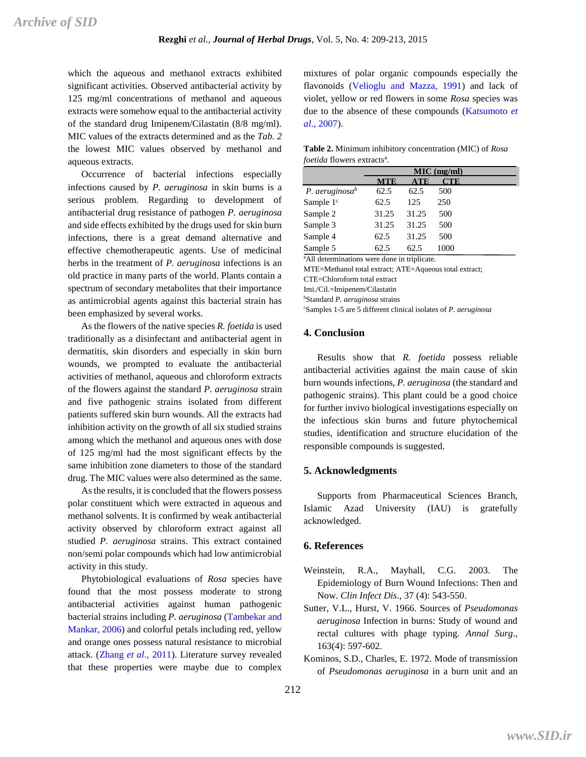which the aqueous and methanol extracts exhibited significant activities. Observed antibacterial activity by 125 mg/ml concentrations of methanol and aqueous extracts were somehow equal to the antibacterial activity of the standard drug Imipenem/Cilastatin (8/8 mg/ml). MIC values of the extracts determined and as the *Tab. 2* the lowest MIC values observed by methanol and aqueous extracts.

Occurrence of bacterial infections especially infections caused by *P. aeruginosa* in skin burns is a serious problem. Regarding to development of antibacterial drug resistance of pathogen *P. aeruginosa* and side effects exhibited by the drugs used for skin burn infections, there is a great demand alternative and effective chemotherapeutic agents. Use of medicinal herbs in the treatment of *P. aeruginosa* infections is an old practice in many parts of the world. Plants contain a spectrum of secondary metabolites that their importance as antimicrobial agents against this bacterial strain has been emphasized by several works.

As the flowers of the native species *R. foetida* is used traditionally as a disinfectant and antibacterial agent in dermatitis, skin disorders and especially in skin burn wounds, we prompted to evaluate the antibacterial activities of methanol, aqueous and chloroform extracts of the flowers against the standard *P. aeruginosa* strain and five pathogenic strains isolated from different patients suffered skin burn wounds. All the extracts had inhibition activity on the growth of all six studied strains among which the methanol and aqueous ones with dose of 125 mg/ml had the most significant effects by the same inhibition zone diameters to those of the standard drug. The MIC values were also determined as the same.

As the results, it is concluded that the flowers possess polar constituent which were extracted in aqueous and methanol solvents. It is confirmed by weak antibacterial activity observed by chloroform extract against all studied *P. aeruginosa* strains. This extract contained non/semi polar compounds which had low antimicrobial activity in this study.

Phytobiological evaluations of *Rosa* species have found that the most possess moderate to strong antibacterial activities against human pathogenic bacterial strains including *P. aeruginosa* (Tambekar and Mankar, 2006) and colorful petals including red, yellow and orange ones possess natural resistance to microbial attack. (Zhang *et al*., 2011). Literature survey revealed that these properties were maybe due to complex

mixtures of polar organic compounds especially the flavonoids (Velioglu and Mazza, 1991) and lack of violet, yellow or red flowers in some *Rosa* species was due to the absence of these compounds (Katsumoto *et al*., 2007).

**Table 2.** Minimum inhibitory concentration (MIC) of *Rosa foetida* flowers extractsª.

|                            |              |                | MIC (mg/ml) |  |
|----------------------------|--------------|----------------|-------------|--|
|                            | <b>MTE</b>   | $\mathbf{ATE}$ | CTE         |  |
| P. aeruginosa <sup>b</sup> | 62.5         | 62.5           | 500         |  |
| Sample $1c$                | 62.5         | 125            | 250         |  |
| Sample 2                   | 31.25        | 31.25          | 500         |  |
| Sample 3                   | 31.25        | 31.25          | 500         |  |
| Sample 4                   | 62.5         | 31.25          | 500         |  |
| Sample 5                   | 62.5         | 62.5           | 1000        |  |
| 0.1.11.1.1                 | $\mathbf{H}$ | $\cdots$       |             |  |

ªAll determinations were done in triplicate. MTE=Methanol total extract; ATE=Aqueous total extract; CTE=Chloroform total extract Imi./Cil.=Imipenem/Cilastatin

<sup>b</sup>Standard *P. aeruginosa* strains

<sup>c</sup>Samples 1-5 are 5 different clinical isolates of *P. aeruginosa*

#### **4. Conclusion**

Results show that *R. foetida* possess reliable antibacterial activities against the main cause of skin burn wounds infections, *P. aeruginosa* (the standard and pathogenic strains). This plant could be a good choice for further invivo biological investigations especially on the infectious skin burns and future phytochemical studies, identification and structure elucidation of the responsible compounds is suggested.

#### **5. Acknowledgments**

Supports from Pharmaceutical Sciences Branch, Islamic Azad University (IAU) is gratefully acknowledged.

#### **6. References**

- Weinstein, R.A., Mayhall, C.G. 2003. The Epidemiology of Burn Wound Infections: Then and Now. *Clin Infect Dis*., 37 (4): 543-550.
- Sutter, V.L., Hurst, V. 1966. Sources of *Pseudomonas aeruginosa* Infection in burns: Study of wound and rectal cultures with phage typing. *Annal Surg*., 163(4): 597-602.
- Kominos, S.D., Charles, E. 1972. Mode of transmission of *Pseudomonas aeruginosa* in a burn unit and an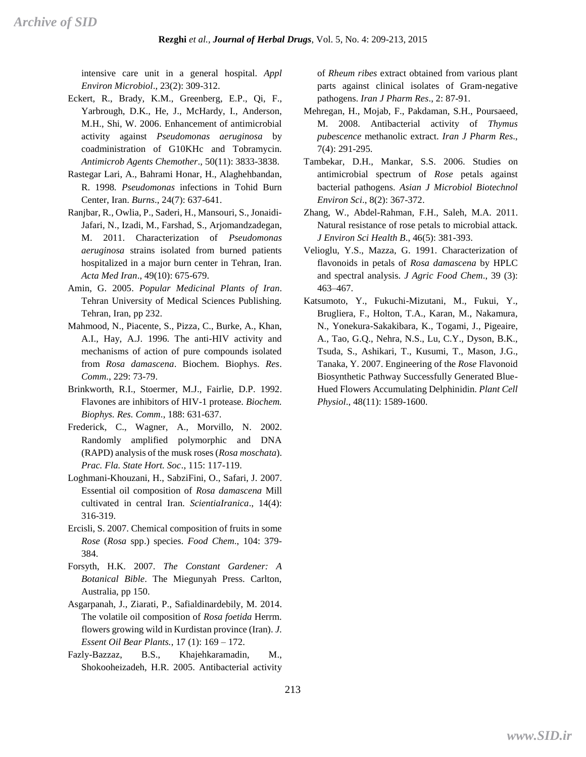intensive care unit in a general hospital. *Appl Environ Microbiol*., 23(2): 309-312.

- Eckert, R., Brady, K.M., Greenberg, E.P., Qi, F., Yarbrough, D.K., He, J., McHardy, I., Anderson, M.H., Shi, W. 2006. Enhancement of antimicrobial activity against *Pseudomonas aeruginosa* by coadministration of G10KHc and Tobramycin. *Antimicrob Agents Chemother*., 50(11): 3833-3838.
- Rastegar Lari, A., Bahrami Honar, H., Alaghehbandan, R. 1998*. Pseudomonas* infections in Tohid Burn Center, Iran. *Burns*., 24(7): 637-641.
- Ranjbar, R., Owlia, P., Saderi, H., Mansouri, S., Jonaidi-Jafari, N., Izadi, M., Farshad, S., Arjomandzadegan, M. 2011. Characterization of *Pseudomonas aeruginosa* strains isolated from burned patients hospitalized in a major burn center in Tehran, Iran. *Acta Med Iran*., 49(10): 675-679.
- Amin, G. 2005. *Popular Medicinal Plants of Iran*. Tehran University of Medical Sciences Publishing. Tehran, Iran, pp 232.
- Mahmood, N., Piacente, S., Pizza, C., Burke, A., Khan, A.I., Hay, A.J. 1996. The anti-HIV activity and mechanisms of action of pure compounds isolated from *Rosa damascena*. Biochem. Biophys. *Res*. *Comm*., 229: 73-79.
- Brinkworth, R.I., Stoermer, M.J., Fairlie, D.P. 1992. Flavones are inhibitors of HIV-1 protease. *Biochem. Biophys. Res. Comm*., 188: 631-637.
- Frederick, C., Wagner, A., Morvillo, N. 2002. Randomly amplified polymorphic and DNA (RAPD) analysis of the musk roses (*Rosa moschata*). *Prac. Fla. State Hort. Soc*., 115: 117-119.
- Loghmani-Khouzani, H., SabziFini, O., Safari, J. 2007. Essential oil composition of *Rosa damascena* Mill cultivated in central Iran. *ScientiaIranica*., 14(4): 316-319.
- Ercisli, S. 2007. Chemical composition of fruits in some *Rose* (*Rosa* spp.) species. *Food Chem*., 104: 379- 384.
- Forsyth, H.K. 2007. *The Constant Gardener: A Botanical Bible*. The Miegunyah Press. Carlton, Australia, pp 150.
- Asgarpanah, J., Ziarati, P., Safialdinardebily, M. 2014. The volatile oil composition of *Rosa foetida* Herrm. flowers growing wild in Kurdistan province (Iran). *J. Essent Oil Bear Plants.*, 17 (1): 169 – 172.
- Fazly-Bazzaz, B.S., Khajehkaramadin, M., Shokooheizadeh, H.R. 2005. Antibacterial activity

of *Rheum ribes* extract obtained from various plant parts against clinical isolates of Gram-negative pathogens. *Iran J Pharm Res*., 2: 87-91.

- Mehregan, H., Mojab, F., Pakdaman, S.H., Poursaeed, M. 2008. Antibacterial activity of *Thymus pubescence* methanolic extract. *Iran J Pharm Res*., 7(4): 291-295.
- Tambekar, D.H., Mankar, S.S. 2006. Studies on antimicrobial spectrum of *Rose* petals against bacterial pathogens. *Asian J Microbiol Biotechnol Environ Sci*., 8(2): 367-372.
- Zhang, W., Abdel-Rahman, F.H., Saleh, M.A. 2011. Natural resistance of rose petals to microbial attack. *J Environ Sci Health B*., 46(5): 381-393.
- Velioglu, Y.S., Mazza, G. 1991. Characterization of flavonoids in petals of *Rosa damascena* by HPLC and spectral analysis. *J Agric Food Chem*., 39 (3): 463–467.
- Katsumoto, Y., Fukuchi-Mizutani, M., Fukui, Y., Brugliera, F., Holton, T.A., Karan, M., Nakamura, N., Yonekura-Sakakibara, K., Togami, J., Pigeaire, A., Tao, G.Q., Nehra, N.S., Lu, C.Y., Dyson, B.K., Tsuda, S., Ashikari, T., Kusumi, T., Mason, J.G., Tanaka, Y. 2007. Engineering of the *Rose* Flavonoid Biosynthetic Pathway Successfully Generated Blue-Hued Flowers Accumulating Delphinidin. *Plant Cell Physiol*., 48(11): 1589-1600.